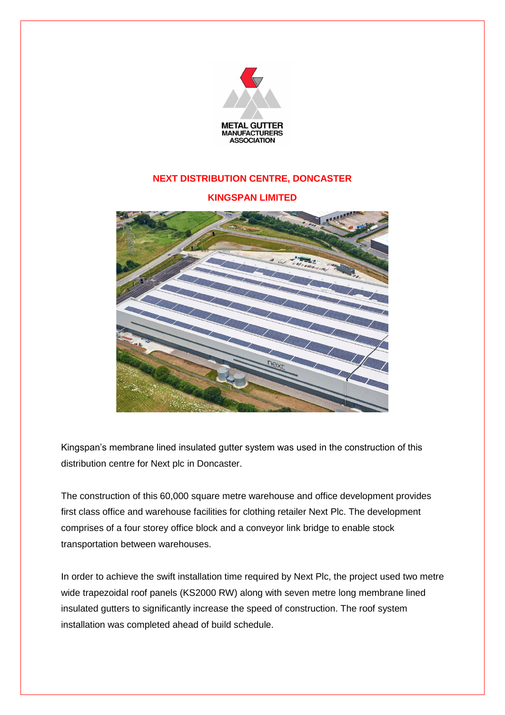

## **NEXT DISTRIBUTION CENTRE, DONCASTER**

## **KINGSPAN LIMITED**



Kingspan's membrane lined insulated gutter system was used in the construction of this distribution centre for Next plc in Doncaster.

The construction of this 60,000 square metre warehouse and office development provides first class office and warehouse facilities for clothing retailer Next Plc. The development comprises of a four storey office block and a conveyor link bridge to enable stock transportation between warehouses.

In order to achieve the swift installation time required by Next Plc, the project used two metre wide trapezoidal roof panels (KS2000 RW) along with seven metre long membrane lined insulated gutters to significantly increase the speed of construction. The roof system installation was completed ahead of build schedule.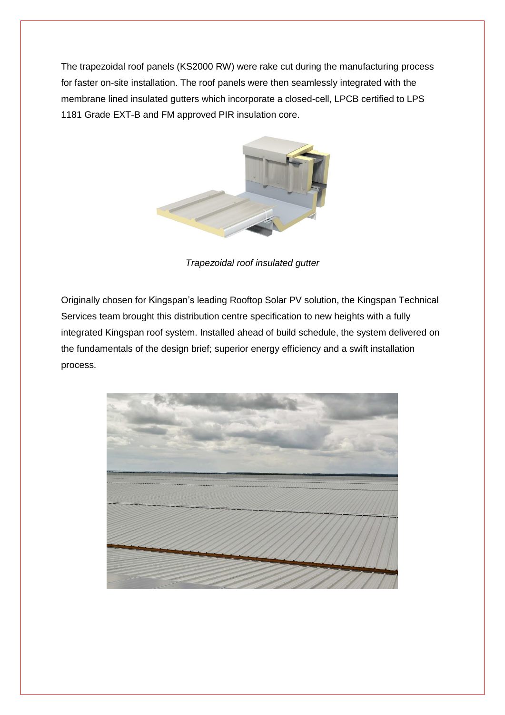The trapezoidal roof panels (KS2000 RW) were rake cut during the manufacturing process for faster on-site installation. The roof panels were then seamlessly integrated with the membrane lined insulated gutters which incorporate a closed-cell, LPCB certified to LPS 1181 Grade EXT-B and FM approved PIR insulation core.



*Trapezoidal roof insulated gutter*

Originally chosen for Kingspan's leading Rooftop Solar PV solution, the Kingspan Technical Services team brought this distribution centre specification to new heights with a fully integrated Kingspan roof system. Installed ahead of build schedule, the system delivered on the fundamentals of the design brief; superior energy efficiency and a swift installation process.